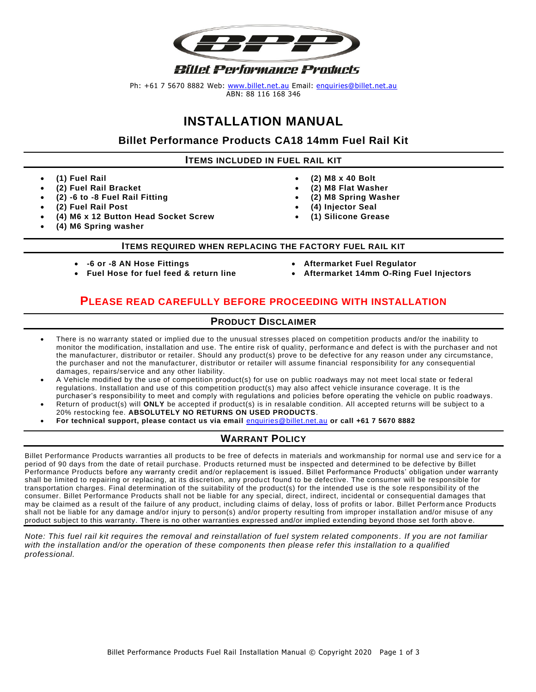

Ph: +61 7 5670 8882 Web: [www.billet.net.au](http://www.billet.net.au/) Email: [enquiries@billet.net.au](mailto:enquiries@billet.net.au) ABN: 88 116 168 346

# **INSTALLATION MANUAL**

**Billet Performance Products CA18 14mm Fuel Rail Kit**

**ITEMS INCLUDED IN FUEL RAIL KIT**

- **(1) Fuel Rail**
- **(2) Fuel Rail Bracket**
- **(2) -6 to -8 Fuel Rail Fitting**
- **(2) Fuel Rail Post**
- **(4) M6 x 12 Button Head Socket Screw**
- **(4) M6 Spring washer**
- **(2) M8 x 40 Bolt**
- **(2) M8 Flat Washer**
- **(2) M8 Spring Washer**
- **(4) Injector Seal**
- **(1) Silicone Grease**
- **ITEMS REQUIRED WHEN REPLACING THE FACTORY FUEL RAIL KIT**
- **-6 or -8 AN Hose Fittings**
- **Fuel Hose for fuel feed & return line**
- **Aftermarket Fuel Regulator**
- **Aftermarket 14mm O-Ring Fuel Injectors**

### **PLEASE READ CAREFULLY BEFORE PROCEEDING WITH INSTALLATION**

### **PRODUCT DISCLAIMER**

- There is no warranty stated or implied due to the unusual stresses placed on competition products and/or the inability to monitor the modification, installation and use. The entire risk of quality, performance and defect is with the purchaser and not the manufacturer, distributor or retailer. Should any product(s) prove to be defective for any reason under any circumstance, the purchaser and not the manufacturer, distributor or retailer will assume financial responsibility for any consequential damages, repairs/service and any other liability.
- A Vehicle modified by the use of competition product(s) for use on public roadways may not meet local state or federal regulations. Installation and use of this competition product(s) may also affect vehicle insurance coverage. It is the purchaser's responsibility to meet and comply with regulations and policies before operating the vehicle on public roadways.
- Return of product(s) will **ONLY** be accepted if product(s) is in resalable condition. All accepted returns will be subject to a 20% restocking fee. **ABSOLUTELY NO RETURNS ON USED PRODUCTS**.
- **For technical support, please contact us via email** [enquiries@billet.net.au](mailto:enquiries@billet.net.au) **or call +61 7 5670 8882**

### **WARRANT POLICY**

Billet Performance Products warranties all products to be free of defects in materials and workmanship for normal use and serv ice for a period of 90 days from the date of retail purchase. Products returned must be inspected and determined to be defective by Billet Performance Products before any warranty credit and/or replacement is issued. Billet Performance Products' obligation under warranty shall be limited to repairing or replacing, at its discretion, any product found to be defective. The consumer will be responsible for transportation charges. Final determination of the suitability of the product(s) for the intended use is the sole responsibil ity of the consumer. Billet Performance Products shall not be liable for any special, direct, indirect, incidental or consequential damages that may be claimed as a result of the failure of any product, including claims of delay, loss of profits or labor. Billet Perform ance Products shall not be liable for any damage and/or injury to person(s) and/or property resulting from improper installation and/or misuse of any product subject to this warranty. There is no other warranties expressed and/or implied extending beyond those set forth abov e.

*Note: This fuel rail kit requires the removal and reinstallation of fuel system related components . If you are not familiar*  with the installation and/or the operation of these components then please refer this installation to a qualified *professional.*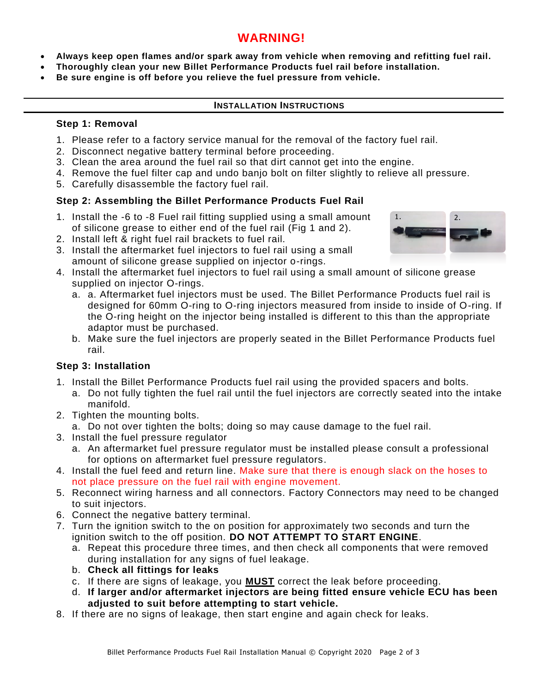## **WARNING!**

- **Always keep open flames and/or spark away from vehicle when removing and refitting fuel rail.**
- **Thoroughly clean your new Billet Performance Products fuel rail before installation.**
- **Be sure engine is off before you relieve the fuel pressure from vehicle.**

### **INSTALLATION INSTRUCTIONS**

### **Step 1: Removal**

- 1. Please refer to a factory service manual for the removal of the factory fuel rail.
- 2. Disconnect negative battery terminal before proceeding.
- 3. Clean the area around the fuel rail so that dirt cannot get into the engine.
- 4. Remove the fuel filter cap and undo banjo bolt on filter slightly to relieve all pressure.
- 5. Carefully disassemble the factory fuel rail.

### **Step 2: Assembling the Billet Performance Products Fuel Rail**

- 1. Install the -6 to -8 Fuel rail fitting supplied using a small amount of silicone grease to either end of the fuel rail (Fig 1 and 2).
- 2. Install left & right fuel rail brackets to fuel rail.
- 3. Install the aftermarket fuel injectors to fuel rail using a small amount of silicone grease supplied on injector o-rings.
- 4. Install the aftermarket fuel injectors to fuel rail using a small amount of silicone grease supplied on injector O-rings.
	- a. a. Aftermarket fuel injectors must be used. The Billet Performance Products fuel rail is designed for 60mm O-ring to O-ring injectors measured from inside to inside of O-ring. If the O-ring height on the injector being installed is different to this than the appropriate adaptor must be purchased.
	- b. Make sure the fuel injectors are properly seated in the Billet Performance Products fuel rail.

### **Step 3: Installation**

- 1. Install the Billet Performance Products fuel rail using the provided spacers and bolts.
	- a. Do not fully tighten the fuel rail until the fuel injectors are correctly seated into the intake manifold.
- 2. Tighten the mounting bolts.
	- a. Do not over tighten the bolts; doing so may cause damage to the fuel rail.
- 3. Install the fuel pressure regulator
	- a. An aftermarket fuel pressure regulator must be installed please consult a professional for options on aftermarket fuel pressure regulators.
- 4. Install the fuel feed and return line. Make sure that there is enough slack on the hoses to not place pressure on the fuel rail with engine movement.
- 5. Reconnect wiring harness and all connectors. Factory Connectors may need to be changed to suit injectors.
- 6. Connect the negative battery terminal.
- 7. Turn the ignition switch to the on position for approximately two seconds and turn the ignition switch to the off position. **DO NOT ATTEMPT TO START ENGINE**.
	- a. Repeat this procedure three times, and then check all components that were removed during installation for any signs of fuel leakage.
	- b. **Check all fittings for leaks**
	- c. If there are signs of leakage, you **MUST** correct the leak before proceeding.
	- d. **If larger and/or aftermarket injectors are being fitted ensure vehicle ECU has been adjusted to suit before attempting to start vehicle.**
- 8. If there are no signs of leakage, then start engine and again check for leaks.